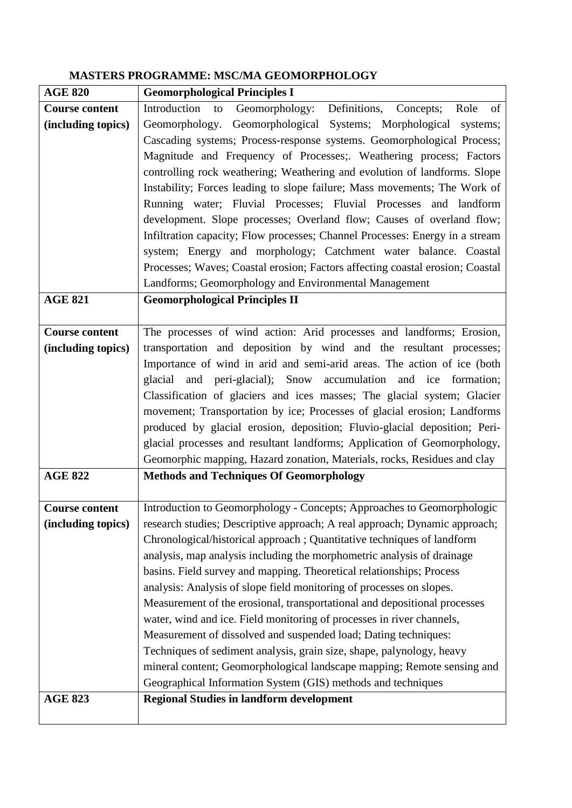## **MASTERS PROGRAMME: MSC/MA GEOMORPHOLOGY**

| <b>AGE 820</b>        | <b>Geomorphological Principles I</b>                                          |
|-----------------------|-------------------------------------------------------------------------------|
| <b>Course content</b> | Geomorphology: Definitions, Concepts;<br>Introduction to<br>Role<br>of        |
| (including topics)    | Geomorphology. Geomorphological Systems; Morphological systems;               |
|                       | Cascading systems; Process-response systems. Geomorphological Process;        |
|                       | Magnitude and Frequency of Processes;. Weathering process; Factors            |
|                       | controlling rock weathering; Weathering and evolution of landforms. Slope     |
|                       | Instability; Forces leading to slope failure; Mass movements; The Work of     |
|                       | Running water; Fluvial Processes; Fluvial Processes and landform              |
|                       | development. Slope processes; Overland flow; Causes of overland flow;         |
|                       | Infiltration capacity; Flow processes; Channel Processes: Energy in a stream  |
|                       | system; Energy and morphology; Catchment water balance. Coastal               |
|                       | Processes; Waves; Coastal erosion; Factors affecting coastal erosion; Coastal |
|                       | Landforms; Geomorphology and Environmental Management                         |
| <b>AGE 821</b>        | <b>Geomorphological Principles II</b>                                         |
|                       |                                                                               |
| <b>Course content</b> | The processes of wind action: Arid processes and landforms; Erosion,          |
| (including topics)    | transportation and deposition by wind and the resultant processes;            |
|                       | Importance of wind in arid and semi-arid areas. The action of ice (both       |
|                       | glacial and peri-glacial); Snow accumulation and ice formation;               |
|                       | Classification of glaciers and ices masses; The glacial system; Glacier       |
|                       | movement; Transportation by ice; Processes of glacial erosion; Landforms      |
|                       | produced by glacial erosion, deposition; Fluvio-glacial deposition; Peri-     |
|                       | glacial processes and resultant landforms; Application of Geomorphology,      |
|                       | Geomorphic mapping, Hazard zonation, Materials, rocks, Residues and clay      |
| <b>AGE 822</b>        | <b>Methods and Techniques Of Geomorphology</b>                                |
|                       |                                                                               |
| <b>Course content</b> | Introduction to Geomorphology - Concepts; Approaches to Geomorphologic        |
| (including topics)    | research studies; Descriptive approach; A real approach; Dynamic approach;    |
|                       | Chronological/historical approach; Quantitative techniques of landform        |
|                       | analysis, map analysis including the morphometric analysis of drainage        |
|                       | basins. Field survey and mapping. Theoretical relationships; Process          |
|                       | analysis: Analysis of slope field monitoring of processes on slopes.          |
|                       | Measurement of the erosional, transportational and depositional processes     |
|                       | water, wind and ice. Field monitoring of processes in river channels,         |
|                       | Measurement of dissolved and suspended load; Dating techniques:               |
|                       | Techniques of sediment analysis, grain size, shape, palynology, heavy         |
|                       | mineral content; Geomorphological landscape mapping; Remote sensing and       |
|                       | Geographical Information System (GIS) methods and techniques                  |
| <b>AGE 823</b>        | <b>Regional Studies in landform development</b>                               |
|                       |                                                                               |